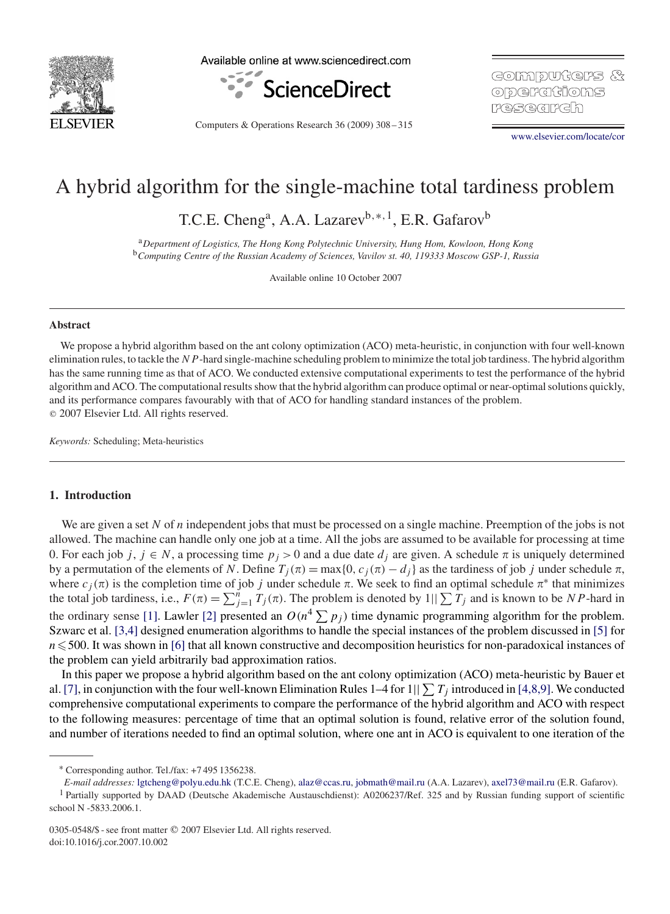

Available online at www.sciencedirect.com



Computers & Operations Research 36 (2009) 308 – 315

GOIMPUTCH'S & ODCHCHONS **P**/결국(공)

[www.elsevier.com/locate/cor](http://www.elsevier.com/locate/cor)

# A hybrid algorithm for the single-machine total tardiness problem

T.C.E. Cheng<sup>a</sup>, A.A. Lazarev<sup>b,\*,1</sup>, E.R. Gafarov<sup>b</sup>

<sup>a</sup>*Department of Logistics, The Hong Kong Polytechnic University, Hung Hom, Kowloon, Hong Kong* <sup>b</sup>*Computing Centre of the Russian Academy of Sciences, Vavilov st. 40, 119333 Moscow GSP-1, Russia*

Available online 10 October 2007

#### **Abstract**

We propose a hybrid algorithm based on the ant colony optimization (ACO) meta-heuristic, in conjunction with four well-known elimination rules, to tackle the  $NP$ -hard single-machine scheduling problem to minimize the total job tardiness. The hybrid algorithm has the same running time as that of ACO. We conducted extensive computational experiments to test the performance of the hybrid algorithm and ACO. The computational results show that the hybrid algorithm can produce optimal or near-optimal solutions quickly, and its performance compares favourably with that of ACO for handling standard instances of the problem. - 2007 Elsevier Ltd. All rights reserved.

*Keywords:* Scheduling; Meta-heuristics

## **1. Introduction**

We are given a set N of n independent jobs that must be processed on a single machine. Preemption of the jobs is not allowed. The machine can handle only one job at a time. All the jobs are assumed to be available for processing at time 0. For each job j,  $j \in N$ , a processing time  $p_j > 0$  and a due date  $d_j$  are given. A schedule  $\pi$  is uniquely determined by a permutation of the elements of N. Define  $T_i(\pi) = \max\{0, c_j(\pi) - d_j\}$  as the tardiness of job j under schedule  $\pi$ , where  $c_j(\pi)$  is the completion time of job j under schedule  $\pi$ . We seek to find an optimal schedule  $\pi^*$  that minimizes the total job tardiness, i.e.,  $F(\pi) = \sum_{j=1}^{n} T_j(\pi)$ . The problem is denoted by  $1||\sum T_j$  and is known to be NP-hard in the ordinary sense [\[1\].](#page-7-0) Lawler [\[2\]](#page-7-0) presented an  $O(n^4 \sum p_i)$  time dynamic programming algorithm for the problem. Szwarc et al. [3,4] designed enumeration algorithms to handle the special instances of the problem discussed in [\[5\]](#page-7-0) for  $n \le 500$ . It was shown in [\[6\]](#page-7-0) that all known constructive and decomposition heuristics for non-paradoxical instances of the problem can yield arbitrarily bad approximation ratios.

In this paper we propose a hybrid algorithm based on the ant colony optimization (ACO) meta-heuristic by Bauer et al. [\[7\],](#page-7-0) in conjunction with the four well-known Elimination Rules 1–4 for 1||  $\sum T_i$  introduced in [4,8,9]. We conducted comprehensive computational experiments to compare the performance of the hybrid algorithm and ACO with respect to the following measures: percentage of time that an optimal solution is found, relative error of the solution found, and number of iterations needed to find an optimal solution, where one ant in ACO is equivalent to one iteration of the

<sup>∗</sup> Corresponding author. Tel./fax: +7 495 1356238.

*E-mail addresses:* [lgtcheng@polyu.edu.hk](mailto:lgtcheng@polyu.edu.hk) (T.C.E. Cheng), [alaz@ccas.ru,](mailto:alaz@ccas.ru) [jobmath@mail.ru](mailto:jobmath@mail.ru) (A.A. Lazarev), [axel73@mail.ru](mailto:axel73@mail.ru) (E.R. Gafarov).

<sup>&</sup>lt;sup>1</sup> Partially supported by DAAD (Deutsche Akademische Austauschdienst): A0206237/Ref. 325 and by Russian funding support of scientific school N -5833.2006.1.

<sup>0305-0548/\$ -</sup> see front matter © 2007 Elsevier Ltd. All rights reserved. doi:10.1016/j.cor.2007.10.002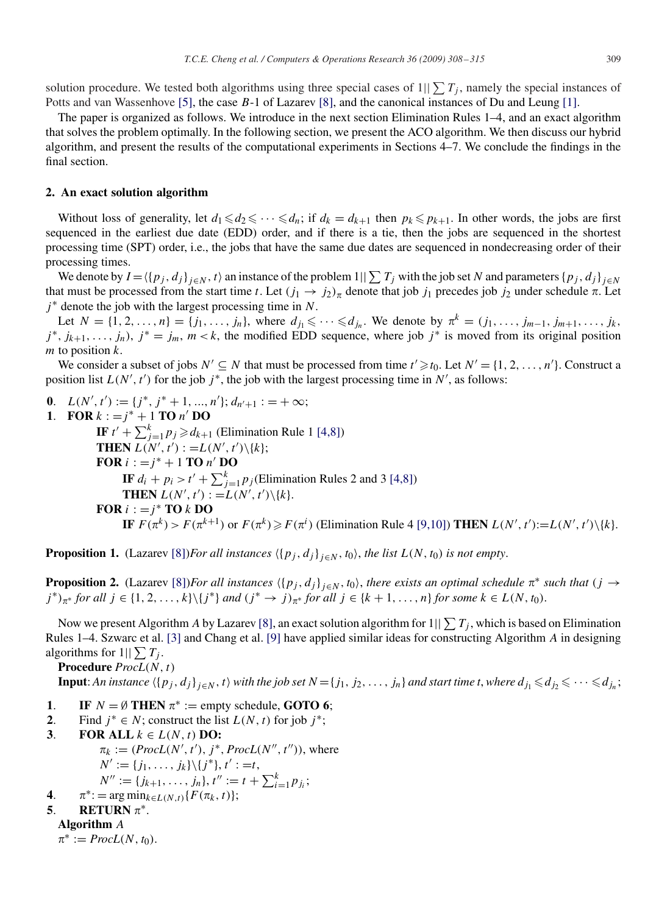solution procedure. We tested both algorithms using three special cases of  $1||\sum T_i$ , namely the special instances of Potts and van Wassenhove [\[5\],](#page-7-0) the case B-1 of Lazarev [\[8\],](#page-7-0) and the canonical instances of Du and Leung [\[1\].](#page-7-0)

The paper is organized as follows. We introduce in the next section Elimination Rules 1–4, and an exact algorithm that solves the problem optimally. In the following section, we present the ACO algorithm. We then discuss our hybrid algorithm, and present the results of the computational experiments in Sections 4–7. We conclude the findings in the final section.

#### **2. An exact solution algorithm**

Without loss of generality, let  $d_1 \leq d_2 \leq \cdots \leq d_n$ ; if  $d_k = d_{k+1}$  then  $p_k \leq p_{k+1}$ . In other words, the jobs are first sequenced in the earliest due date (EDD) order, and if there is a tie, then the jobs are sequenced in the shortest processing time (SPT) order, i.e., the jobs that have the same due dates are sequenced in nondecreasing order of their processing times.

We denote by  $I = \langle \{p_j, d_j\}_{j \in N}, t \rangle$  an instance of the problem  $1 \mid \sum T_j$  with the job set N and parameters  $\{p_j, d_j\}_{j \in N}$ that must be processed from the start time t. Let  $(j_1 \to j_2)_\pi$  denote that job  $j_1$  precedes job  $j_2$  under schedule  $\pi$ . Let  $j^*$  denote the job with the largest processing time in N.

Let  $N = \{1, 2, ..., n\} = \{j_1, ..., j_n\}$ , where  $d_{j_1} \leq \cdots \leq d_{j_n}$ . We denote by  $\pi^k = (j_1, ..., j_{m-1}, j_{m+1}, ..., j_k,$  $j^*$ ,  $j_{k+1},...,j_n$ ,  $j^* = j_m$ ,  $m < k$ , the modified EDD sequence, where job  $j^*$  is moved from its original position  $m$  to position  $k$ .

We consider a subset of jobs  $N' \subseteq N$  that must be processed from time  $t' \ge t_0$ . Let  $N' = \{1, 2, ..., n'\}$ . Construct a position list  $L(N', t')$  for the job  $j^*$ , the job with the largest processing time in N', as follows:

**0**.  $L(N', t') := \{j^*, j^* + 1, ..., n'\}; d_{n'+1} := +\infty;$ 

**1. FOR**  $k := j^* + 1$  **TO**  $n'$  **DO IF**  $t' + \sum_{j=1}^{k} p_j \ge d_{k+1}$  (Elimination Rule 1 [4,8]) **THEN**  $L(N', t')$  :  $=L(N', t')\setminus\{k\};$ **FOR**  $i := j^* + 1$  **TO**  $n'$  **DO IF**  $d_i + p_i > t' + \sum_{j=1}^k p_j$  (Elimination Rules 2 and 3 [4,8]) **THEN**  $L(N', t') := L(N', t') \setminus \{k\}.$ **FOR**  $i := j^*$  **TO**  $k$  **DO IF**  $F(\pi^k) > F(\pi^{k+1})$  or  $F(\pi^k) \geq F(\pi^i)$  (Elimination Rule 4 [9,10]) **THEN**  $L(N', t') := L(N', t') \setminus \{k\}.$ 

**Proposition 1.** (Lazarev [\[8\]\)](#page-7-0)*For all instances*  $\langle \{p_j, d_j\}_{j \in N}, t_0 \rangle$ , *the list*  $L(N, t_0)$  *is not empty.* 

**Proposition 2.** (Lazarev [\[8\]\)](#page-7-0)*For all instances*  $\langle {p_j, d_j}\rangle_{j \in N}$ ,  $t_0\rangle$ , there exists an optimal schedule  $\pi^*$  such that  $(j \to$  $j^*$ <sub> $\pi^*$ </sub> *for all*  $j \in \{1, 2, ..., k\} \setminus \{j^*\}$  *and*  $(j^* \to j)_{\pi^*}$  *for all*  $j \in \{k + 1, ..., n\}$  *for some*  $k \in L(N, t_0)$ .

Now we present Algorithm A by Lazarev [\[8\],](#page-7-0) an exact solution algorithm for  $1||\sum T_i$ , which is based on Elimination Rules 1–4. Szwarc et al. [\[3\]](#page-7-0) and Chang et al. [\[9\]](#page-7-0) have applied similar ideas for constructing Algorithm A in designing algorithms for  $1||\sum T_i$ .

**Procedure** *ProcL*(N, t)

**Input**: An instance  $\langle \{p_j, d_j\}_{j\in N}, t \rangle$  with the job set  $N = \{j_1, j_2, \ldots, j_n\}$  and start time t, where  $d_{j_1} \leqslant d_{j_2} \leqslant \cdots \leqslant d_{j_n}$ ;

- **1**. **IF**  $N = \emptyset$  **THEN**  $\pi^* := \text{empty schedule, GOTO 6}$ ;
- **2**. Find  $j^* \in N$ ; construct the list  $L(N, t)$  for job  $j^*$ ;
- **3. FOR ALL**  $k \in L(N, t)$  **DO:**  $\pi_k := (ProcL(N', t'), j^*, ProcL(N'', t'')),$  where  $N' := \{j_1,\ldots,j_k\} \backslash \{j^*\}, t' := t,$  $N'' := \{j_{k+1}, \ldots, j_n\}, t'' := t + \sum_{i=1}^k p_{j_i};$
- **4.**  $\pi^* := \arg \min_{k \in L(N,t)} \{ F(\pi_k, t) \};$

# **5. RETURN**  $\pi^*$ .

# **Algorithm** A

 $\pi^* := \text{ProcL}(N, t_0).$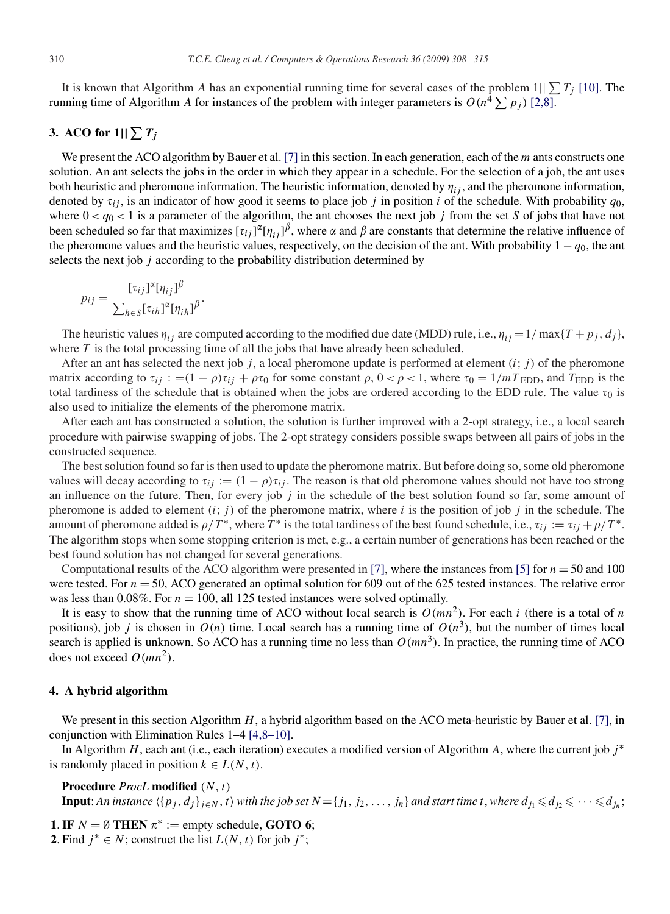It is known that Algorithm A has an exponential running time for several cases of the problem  $1||\sum T_i$  [\[10\].](#page-7-0) The running time of Algorithm A for instances of the problem with integer parameters is  $O(n^4 \sum p_i)$  [2,8].

# **3.** ACO for  $1||\sum T_j$

We present the ACO algorithm by Bauer et al. [\[7\]](#page-7-0) in this section. In each generation, each of the  $m$  ants constructs one solution. An ant selects the jobs in the order in which they appear in a schedule. For the selection of a job, the ant uses both heuristic and pheromone information. The heuristic information, denoted by  $\eta_{ij}$ , and the pheromone information, denoted by  $\tau_{ij}$ , is an indicator of how good it seems to place job j in position i of the schedule. With probability  $q_0$ , where  $0 < q_0 < 1$  is a parameter of the algorithm, the ant chooses the next job j from the set S of jobs that have not been scheduled so far that maximizes  $[\tau_{ij}]^{\alpha}[\eta_{ij}]^{\beta}$ , where  $\alpha$  and  $\beta$  are constants that determine the relative influence of the pheromone values and the heuristic values, respectively, on the decision of the ant. With probability  $1 - q_0$ , the ant selects the next job  $j$  according to the probability distribution determined by

$$
p_{ij} = \frac{[\tau_{ij}]^{\alpha} [\eta_{ij}]^{\beta}}{\sum_{h \in S} [\tau_{ih}]^{\alpha} [\eta_{ih}]^{\beta}}
$$

.

The heuristic values  $\eta_{ij}$  are computed according to the modified due date (MDD) rule, i.e.,  $\eta_{ij} = 1/\max\{T + p_j, d_j\}$ , where  $T$  is the total processing time of all the jobs that have already been scheduled.

After an ant has selected the next job j, a local pheromone update is performed at element  $(i; j)$  of the pheromone matrix according to  $\tau_{ij}$  : =(1 –  $\rho \tau_{ij} + \rho \tau_0$  for some constant  $\rho$ , 0 <  $\rho$  < 1, where  $\tau_0 = 1/mT_{EDD}$ , and  $T_{EDD}$  is the total tardiness of the schedule that is obtained when the jobs are ordered according to the EDD rule. The value  $\tau_0$  is also used to initialize the elements of the pheromone matrix.

After each ant has constructed a solution, the solution is further improved with a 2-opt strategy, i.e., a local search procedure with pairwise swapping of jobs. The 2-opt strategy considers possible swaps between all pairs of jobs in the constructed sequence.

The best solution found so far is then used to update the pheromone matrix. But before doing so, some old pheromone values will decay according to  $\tau_{ij} := (1 - \rho)\tau_{ij}$ . The reason is that old pheromone values should not have too strong an influence on the future. Then, for every job  $j$  in the schedule of the best solution found so far, some amount of pheromone is added to element  $(i; j)$  of the pheromone matrix, where i is the position of job j in the schedule. The amount of pheromone added is  $\rho/T^*$ , where T<sup>\*</sup> is the total tardiness of the best found schedule, i.e.,  $\tau_{ii} := \tau_{ii} + \rho/T^*$ . The algorithm stops when some stopping criterion is met, e.g., a certain number of generations has been reached or the best found solution has not changed for several generations.

Computational results of the ACO algorithm were presented in [\[7\],](#page-7-0) where the instances from [\[5\]](#page-7-0) for  $n = 50$  and 100 were tested. For  $n = 50$ , ACO generated an optimal solution for 609 out of the 625 tested instances. The relative error was less than 0.08%. For  $n = 100$ , all 125 tested instances were solved optimally.

It is easy to show that the running time of ACO without local search is  $O(mn^2)$ . For each i (there is a total of n positions), job j is chosen in  $O(n)$  time. Local search has a running time of  $O(n^3)$ , but the number of times local search is applied is unknown. So ACO has a running time no less than  $O(mn^3)$ . In practice, the running time of ACO does not exceed  $O(mn^2)$ .

#### **4. A hybrid algorithm**

We present in this section Algorithm  $H$ , a hybrid algorithm based on the ACO meta-heuristic by Bauer et al. [\[7\],](#page-7-0) in conjunction with Elimination Rules 1–4 [4,8–10].

In Algorithm  $H$ , each ant (i.e., each iteration) executes a modified version of Algorithm A, where the current job  $j^*$ is randomly placed in position  $k \in L(N, t)$ .

**Procedure** *ProcL* **modified** (N, t)

**Input**: An instance  $\langle \{p_j, d_j\}_{j\in N}, t \rangle$  with the job set  $N = \{j_1, j_2, \ldots, j_n\}$  and start time t, where  $d_{j_1} \leqslant d_{j_2} \leqslant \cdots \leqslant d_{j_n}$ ;

**1. IF**  $N = \emptyset$  **THEN**  $\pi^* :=$  empty schedule, **GOTO 6**;

**2**. Find  $j^* \in N$ ; construct the list  $L(N, t)$  for job  $j^*$ ;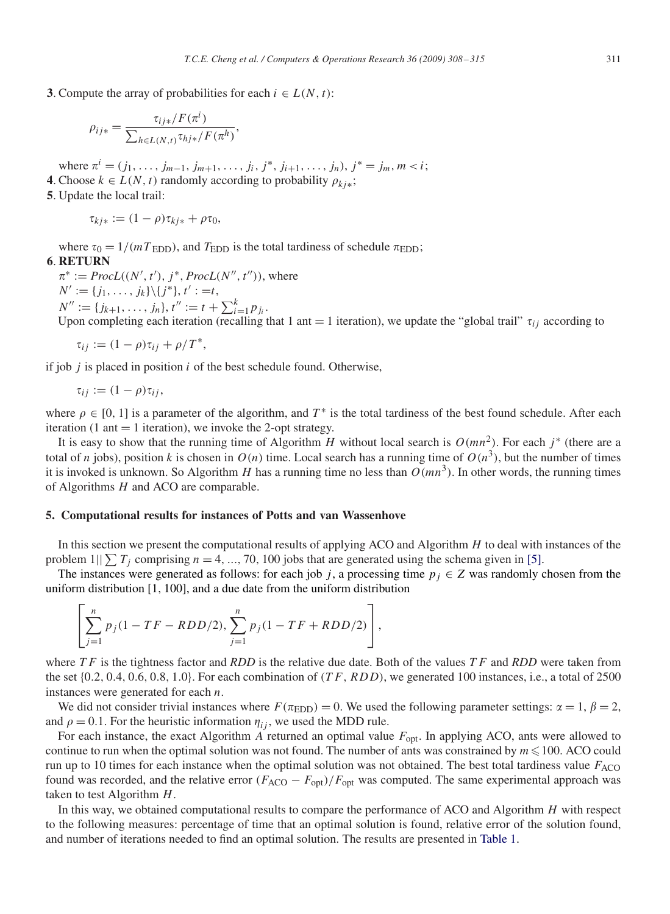**3**. Compute the array of probabilities for each  $i \in L(N, t)$ :

$$
\rho_{ij*} = \frac{\tau_{ij*} / F(\pi^i)}{\sum_{h \in L(N, t)} \tau_{hj*} / F(\pi^h)}
$$

where  $\pi^i = (j_1, \ldots, j_{m-1}, j_{m+1}, \ldots, j_i, j^*, j_{i+1}, \ldots, j_n), j^* = j_m, m < i;$ **4**. Choose  $k$  ∈  $L(N, t)$  randomly according to probability  $\rho_{ki*}$ ;

,

**5**. Update the local trail:

$$
\tau_{kj*} := (1 - \rho)\tau_{kj*} + \rho\tau_0,
$$

where  $\tau_0 = 1/(mT_{\text{EDD}})$ , and  $T_{\text{EDD}}$  is the total tardiness of schedule  $\pi_{\text{EDD}}$ ; **6**. **RETURN**

 $\pi^* := \text{ProcL}((N', t'), j^*, \text{ProcL}(N'', t'')),$  where  $N' := \{j_1, \ldots, j_k\} \backslash \{j^*\}, t' := t,$  $N'' := \{j_{k+1}, \ldots, j_n\}, t'' := t + \sum_{i=1}^k p_{j_i}.$ 

Upon completing each iteration (recalling that 1 ant = 1 iteration), we update the "global trail"  $\tau_{ij}$  according to

$$
\tau_{ij} := (1 - \rho)\tau_{ij} + \rho/T^*,
$$

if job  $j$  is placed in position  $i$  of the best schedule found. Otherwise,

$$
\tau_{ij} := (1 - \rho) \tau_{ij},
$$

where  $\rho \in [0, 1]$  is a parameter of the algorithm, and T<sup>\*</sup> is the total tardiness of the best found schedule. After each iteration (1 ant  $=$  1 iteration), we invoke the 2-opt strategy.

It is easy to show that the running time of Algorithm H without local search is  $O(mn^2)$ . For each j\* (there are a total of n jobs), position k is chosen in  $O(n)$  time. Local search has a running time of  $O(n^3)$ , but the number of times it is invoked is unknown. So Algorithm H has a running time no less than  $O(mn^3)$ . In other words, the running times of Algorithms H and ACO are comparable.

### **5. Computational results for instances of Potts and van Wassenhove**

In this section we present the computational results of applying ACO and Algorithm  $H$  to deal with instances of the problem  $1||\sum T_i$  comprising  $n = 4, ..., 70, 100$  jobs that are generated using the schema given in [\[5\].](#page-7-0)

The instances were generated as follows: for each job j, a processing time  $p_j \in Z$  was randomly chosen from the uniform distribution [1, 100], and a due date from the uniform distribution

$$
\left[\sum_{j=1}^{n} p_j (1 - TF - RDD/2), \sum_{j=1}^{n} p_j (1 - TF + RDD/2)\right],
$$

where  $TF$  is the tightness factor and  $RDD$  is the relative due date. Both of the values  $TF$  and  $RDD$  were taken from the set  $\{0.2, 0.4, 0.6, 0.8, 1.0\}$ . For each combination of  $(TF, RDD)$ , we generated 100 instances, i.e., a total of 2500 instances were generated for each  $n$ .

We did not consider trivial instances where  $F(\pi_{EDD}) = 0$ . We used the following parameter settings:  $\alpha = 1$ ,  $\beta = 2$ , and  $\rho = 0.1$ . For the heuristic information  $\eta_{ij}$ , we used the MDD rule.

For each instance, the exact Algorithm  $\vec{A}$  returned an optimal value  $F_{\text{opt}}$ . In applying ACO, ants were allowed to continue to run when the optimal solution was not found. The number of ants was constrained by  $m \le 100$ . ACO could run up to 10 times for each instance when the optimal solution was not obtained. The best total tardiness value  $F_{\rm ACO}$ found was recorded, and the relative error  $(F_{ACO} - F_{opt})/F_{opt}$  was computed. The same experimental approach was taken to test Algorithm H.

In this way, we obtained computational results to compare the performance of ACO and Algorithm H with respect to the following measures: percentage of time that an optimal solution is found, relative error of the solution found, and number of iterations needed to find an optimal solution. The results are presented in [Table 1.](#page-4-0)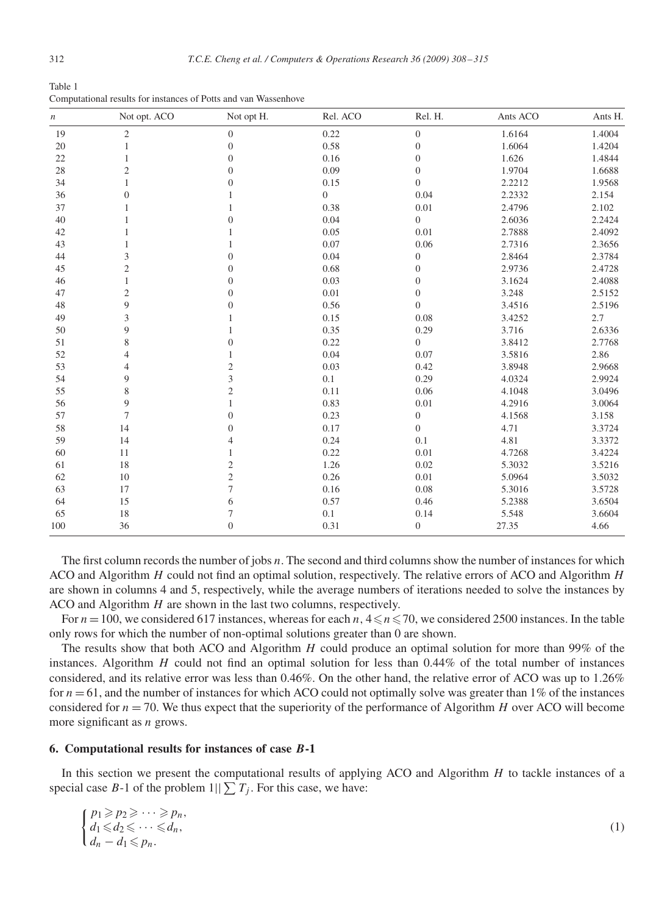<span id="page-4-0"></span>Table 1 Computational results for instances of Potts and van Wassenhove

| $\boldsymbol{n}$ | Not opt. ACO   | Not opt H.     | Rel. ACO       | Rel. H.          | Ants ACO | Ants H. |
|------------------|----------------|----------------|----------------|------------------|----------|---------|
| 19               | $\mathfrak{2}$ | $\mathbf{0}$   | 0.22           | $\boldsymbol{0}$ | 1.6164   | 1.4004  |
| 20               |                | $\overline{0}$ | 0.58           | $\boldsymbol{0}$ | 1.6064   | 1.4204  |
| 22               |                | $\overline{0}$ | 0.16           | $\boldsymbol{0}$ | 1.626    | 1.4844  |
| 28               | 2              | $\overline{0}$ | 0.09           | $\boldsymbol{0}$ | 1.9704   | 1.6688  |
| 34               |                | $\theta$       | 0.15           | $\boldsymbol{0}$ | 2.2212   | 1.9568  |
| 36               | $\Omega$       |                | $\overline{0}$ | 0.04             | 2.2332   | 2.154   |
| 37               |                |                | 0.38           | 0.01             | 2.4796   | 2.102   |
| 40               |                | $\Omega$       | 0.04           | $\overline{0}$   | 2.6036   | 2.2424  |
| 42               |                |                | 0.05           | 0.01             | 2.7888   | 2.4092  |
| 43               |                |                | 0.07           | 0.06             | 2.7316   | 2.3656  |
| 44               | 3              | $\overline{0}$ | 0.04           | $\boldsymbol{0}$ | 2.8464   | 2.3784  |
| 45               | $\mathfrak{2}$ | $\overline{0}$ | 0.68           | $\boldsymbol{0}$ | 2.9736   | 2.4728  |
| 46               | 1              | $\mathbf{0}$   | 0.03           | $\boldsymbol{0}$ | 3.1624   | 2.4088  |
| 47               | $\mathfrak{2}$ | $\Omega$       | 0.01           | $\boldsymbol{0}$ | 3.248    | 2.5152  |
| 48               | 9              | $\mathbf{0}$   | 0.56           | $\overline{0}$   | 3.4516   | 2.5196  |
| 49               | 3              |                | 0.15           | 0.08             | 3.4252   | 2.7     |
| 50               | 9              |                | 0.35           | 0.29             | 3.716    | 2.6336  |
| 51               | 8              | $\overline{0}$ | 0.22           | $\overline{0}$   | 3.8412   | 2.7768  |
| 52               | 4              |                | 0.04           | 0.07             | 3.5816   | 2.86    |
| 53               | $\overline{4}$ | $\overline{c}$ | 0.03           | 0.42             | 3.8948   | 2.9668  |
| 54               | 9              | 3              | 0.1            | 0.29             | 4.0324   | 2.9924  |
| 55               | 8              | $\overline{c}$ | 0.11           | 0.06             | 4.1048   | 3.0496  |
| 56               | 9              |                | 0.83           | 0.01             | 4.2916   | 3.0064  |
| 57               | 7              | $\Omega$       | 0.23           | $\boldsymbol{0}$ | 4.1568   | 3.158   |
| 58               | 14             | $\Omega$       | 0.17           | $\overline{0}$   | 4.71     | 3.3724  |
| 59               | 14             | 4              | 0.24           | 0.1              | 4.81     | 3.3372  |
| 60               | 11             |                | 0.22           | 0.01             | 4.7268   | 3.4224  |
| 61               | 18             | $\overline{c}$ | 1.26           | 0.02             | 5.3032   | 3.5216  |
| 62               | 10             | $\mathfrak{2}$ | 0.26           | 0.01             | 5.0964   | 3.5032  |
| 63               | 17             | 7              | 0.16           | 0.08             | 5.3016   | 3.5728  |
| 64               | 15             | 6              | 0.57           | 0.46             | 5.2388   | 3.6504  |
| 65               | 18             | 7              | 0.1            | 0.14             | 5.548    | 3.6604  |
| 100              | 36             | $\overline{0}$ | 0.31           | $\boldsymbol{0}$ | 27.35    | 4.66    |
|                  |                |                |                |                  |          |         |

The first column records the number of jobs n. The second and third columns show the number of instances for which ACO and Algorithm H could not find an optimal solution, respectively. The relative errors of ACO and Algorithm H are shown in columns 4 and 5, respectively, while the average numbers of iterations needed to solve the instances by ACO and Algorithm H are shown in the last two columns, respectively.

For  $n = 100$ , we considered 617 instances, whereas for each  $n, 4 \le n \le 70$ , we considered 2500 instances. In the table only rows for which the number of non-optimal solutions greater than 0 are shown.

The results show that both ACO and Algorithm  $H$  could produce an optimal solution for more than 99% of the instances. Algorithm  $H$  could not find an optimal solution for less than 0.44% of the total number of instances considered, and its relative error was less than 0.46%. On the other hand, the relative error of ACO was up to 1.26% for  $n = 61$ , and the number of instances for which ACO could not optimally solve was greater than 1% of the instances considered for  $n = 70$ . We thus expect that the superiority of the performance of Algorithm H over ACO will become more significant as  $n$  grows.

# **6. Computational results for instances of case** *B***-1**

In this section we present the computational results of applying ACO and Algorithm H to tackle instances of a special case B-1 of the problem  $1||\sum T_i$ . For this case, we have:

$$
\begin{cases}\np_1 \geqslant p_2 \geqslant \cdots \geqslant p_n, \\
d_1 \leqslant d_2 \leqslant \cdots \leqslant d_n, \\
d_n - d_1 \leqslant p_n.\n\end{cases} \tag{1}
$$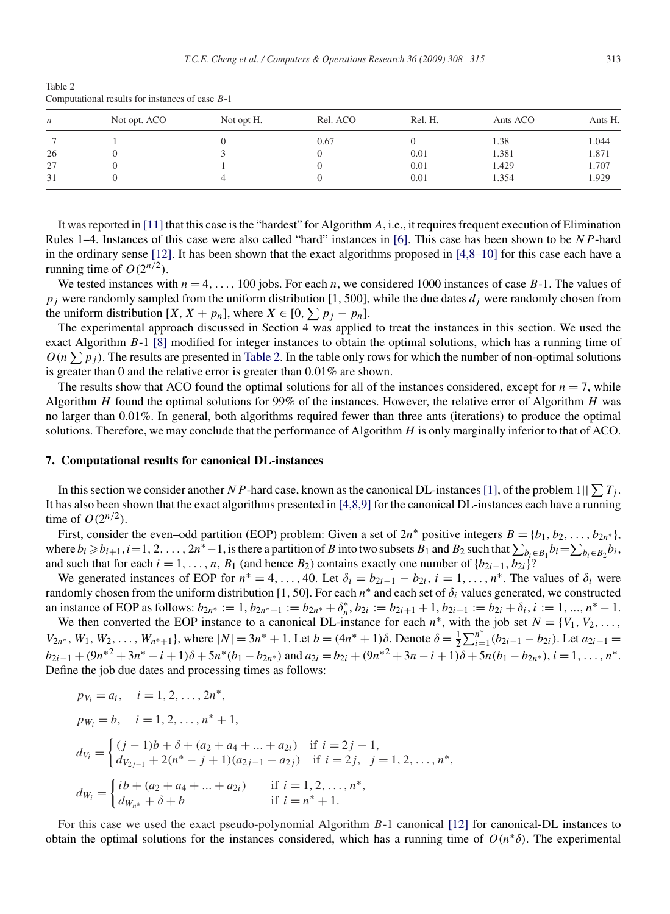| n  | Not opt. ACO | Not opt H. | Rel. ACO | Rel. H. | Ants ACO | Ants H. |
|----|--------------|------------|----------|---------|----------|---------|
|    |              |            | 0.67     |         | 1.38     | 1.044   |
| 26 |              |            |          | 0.01    | 1.381    | 1.871   |
| 27 |              |            |          | 0.01    | 1.429    | 1.707   |
| 31 |              |            |          | 0.01    | .354     | 1.929   |

Table 2 Computational results for instances of case B-1

It was reported in [\[11\]](#page-7-0) that this case is the "hardest" for Algorithm A, i.e., it requires frequent execution of Elimination Rules 1–4. Instances of this case were also called "hard" instances in [\[6\].](#page-7-0) This case has been shown to be NP-hard in the ordinary sense [\[12\].](#page-7-0) It has been shown that the exact algorithms proposed in [4,8–10] for this case each have a running time of  $O(2^{n/2})$ .

We tested instances with  $n = 4, \ldots, 100$  jobs. For each n, we considered 1000 instances of case B-1. The values of  $p_j$  were randomly sampled from the uniform distribution [1, 500], while the due dates  $d_j$  were randomly chosen from the uniform distribution  $[X, X + p_n]$ , where  $X \in [0, \sum p_i - p_n]$ .

The experimental approach discussed in Section 4 was applied to treat the instances in this section. We used the exact Algorithm B-1 [\[8\]](#page-7-0) modified for integer instances to obtain the optimal solutions, which has a running time of  $O(n \sum p_i)$ . The results are presented in Table 2. In the table only rows for which the number of non-optimal solutions is greater than 0 and the relative error is greater than 0.01% are shown.

The results show that ACO found the optimal solutions for all of the instances considered, except for  $n = 7$ , while Algorithm  $H$  found the optimal solutions for 99% of the instances. However, the relative error of Algorithm  $H$  was no larger than 0.01%. In general, both algorithms required fewer than three ants (iterations) to produce the optimal solutions. Therefore, we may conclude that the performance of Algorithm  $H$  is only marginally inferior to that of ACO.

#### **7. Computational results for canonical DL-instances**

In this section we consider another N P-hard case, known as the canonical DL-instances [\[1\],](#page-7-0) of the problem  $1||\sum T_i$ . It has also been shown that the exact algorithms presented in [4,8,9] for the canonical DL-instances each have a running time of  $O(2^{n/2})$ .

First, consider the even–odd partition (EOP) problem: Given a set of  $2n^*$  positive integers  $B = \{b_1, b_2, \ldots, b_{2n^*}\}\,$ where  $b_i \geqslant b_{i+1}$ ,  $i=1, 2, \ldots, 2n^*-1$ , is there a partition of B into two subsets  $B_1$  and  $B_2$  such that  $\sum_{b_i\in B_1} b_i = \sum_{b_i\in B_2} b_i$ , and such that for each  $i = 1, \ldots, n$ ,  $B_1$  (and hence  $B_2$ ) contains exactly one number of  ${b_{2i-1}, b_{2i}}$ ?

We generated instances of EOP for  $n^* = 4, \ldots, 40$ . Let  $\delta_i = b_{2i-1} - b_{2i}, i = 1, \ldots, n^*$ . The values of  $\delta_i$  were randomly chosen from the uniform distribution [1, 50]. For each  $n^*$  and each set of  $\delta_i$  values generated, we constructed an instance of EOP as follows:  $b_{2n^*} := 1$ ,  $b_{2n^*-1} := b_{2n^*} + \delta_n^*$ ,  $b_{2i} := b_{2i+1} + 1$ ,  $b_{2i-1} := b_{2i} + \delta_i$ ,  $i := 1, ..., n^* - 1$ .

We then converted the EOP instance to a canonical DL-instance for each  $n^*$ , with the job set  $N = \{V_1, V_2, \ldots, V_n\}$  $V_{2n^*}$ ,  $W_1, W_2, \ldots, W_{n^*+1}$ , where  $|N| = 3n^* + 1$ . Let  $b = (4n^* + 1)\delta$ . Denote  $\delta = \frac{1}{2} \sum_{i=1}^{n^*} (b_{2i-1} - b_{2i})$ . Let  $a_{2i-1} =$  $b_{2i-1} + (9n^{*2} + 3n^{*} - i + 1)\delta + 5n^{*}(b_1 - b_{2n^{*}})$  and  $a_{2i} = b_{2i} + (9n^{*2} + 3n - i + 1)\delta + 5n(b_1 - b_{2n^{*}}), i = 1, \ldots, n^{*}$ . Define the job due dates and processing times as follows:

$$
pv_i = a_i, \quad i = 1, 2, ..., 2n^*,
$$
  
\n
$$
pw_i = b, \quad i = 1, 2, ..., n^* + 1,
$$
  
\n
$$
dv_i = \begin{cases} (j - 1)b + \delta + (a_2 + a_4 + ... + a_{2i}) & \text{if } i = 2j - 1, \\ dv_{2j-1} + 2(n^* - j + 1)(a_{2j-1} - a_{2j}) & \text{if } i = 2j, j = 1, 2, ..., n^*, \end{cases}
$$
  
\n
$$
dw_i = \begin{cases} ib + (a_2 + a_4 + ... + a_{2i}) & \text{if } i = 1, 2, ..., n^*, \\ dw_{n^*} + \delta + b & \text{if } i = n^* + 1. \end{cases}
$$

For this case we used the exact pseudo-polynomial Algorithm B-1 canonical [\[12\]](#page-7-0) for canonical-DL instances to obtain the optimal solutions for the instances considered, which has a running time of  $O(n^* \delta)$ . The experimental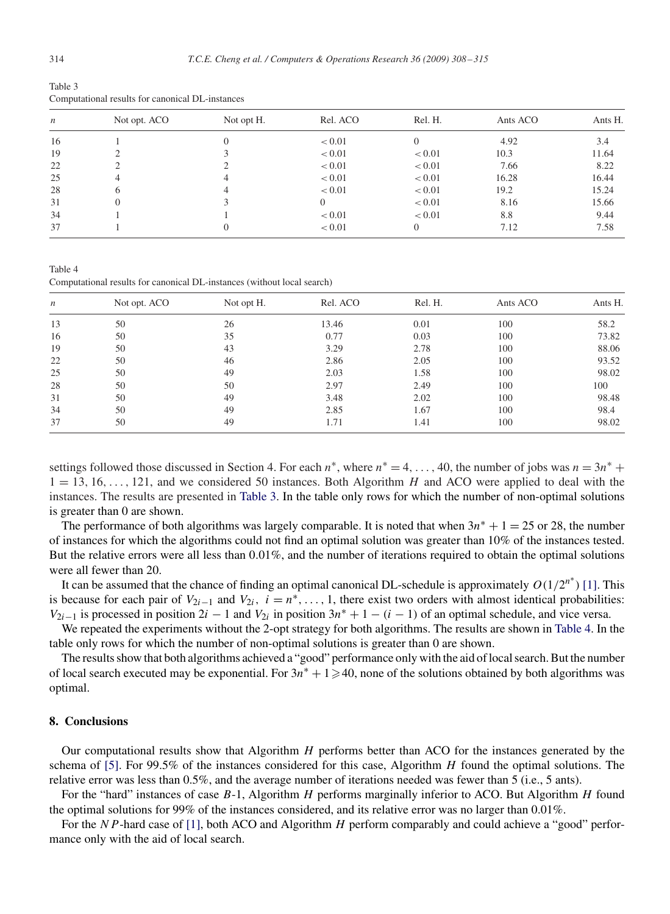| Table 3 |                                                  |
|---------|--------------------------------------------------|
|         | Computational results for canonical DL-instances |

| $\boldsymbol{n}$ | Not opt. ACO | Not opt H. | Rel. ACO | Rel. H. | Ants ACO | Ants H. |
|------------------|--------------|------------|----------|---------|----------|---------|
| 16               |              |            | < 0.01   |         | 4.92     | 3.4     |
| 19               |              |            | < 0.01   | < 0.01  | 10.3     | 11.64   |
| 22               |              |            | < 0.01   | < 0.01  | 7.66     | 8.22    |
| 25               | 4            | 4          | < 0.01   | < 0.01  | 16.28    | 16.44   |
| 28               | 6            | 4          | < 0.01   | < 0.01  | 19.2     | 15.24   |
| 31               | $\theta$     |            | 0        | < 0.01  | 8.16     | 15.66   |
| 34               |              |            | < 0.01   | < 0.01  | 8.8      | 9.44    |
| 37               |              |            | < 0.01   |         | 7.12     | 7.58    |

Table 4 Computational results for canonical DL-instances (without local search)

| $\boldsymbol{n}$ | Not opt. ACO | Not opt H. | Rel. ACO | Rel. H. | Ants ACO | Ants H. |
|------------------|--------------|------------|----------|---------|----------|---------|
| 13               | 50           | 26         | 13.46    | 0.01    | 100      | 58.2    |
| 16               | 50           | 35         | 0.77     | 0.03    | 100      | 73.82   |
| 19               | 50           | 43         | 3.29     | 2.78    | 100      | 88.06   |
| 22               | 50           | 46         | 2.86     | 2.05    | 100      | 93.52   |
| 25               | 50           | 49         | 2.03     | 1.58    | 100      | 98.02   |
| 28               | 50           | 50         | 2.97     | 2.49    | 100      | 100     |
| 31               | 50           | 49         | 3.48     | 2.02    | 100      | 98.48   |
| 34               | 50           | 49         | 2.85     | 1.67    | 100      | 98.4    |
| 37               | 50           | 49         | 1.71     | 1.41    | 100      | 98.02   |

settings followed those discussed in Section 4. For each  $n^*$ , where  $n^* = 4, \ldots, 40$ , the number of jobs was  $n = 3n^*$  +  $1 = 13, 16, \ldots, 121$ , and we considered 50 instances. Both Algorithm H and ACO were applied to deal with the instances. The results are presented in Table 3. In the table only rows for which the number of non-optimal solutions is greater than 0 are shown.

The performance of both algorithms was largely comparable. It is noted that when  $3n^* + 1 = 25$  or 28, the number of instances for which the algorithms could not find an optimal solution was greater than 10% of the instances tested. But the relative errors were all less than 0.01%, and the number of iterations required to obtain the optimal solutions were all fewer than 20.

It can be assumed that the chance of finding an optimal canonical DL-schedule is approximately  $O(1/2^{n^*})$  [\[1\].](#page-7-0) This is because for each pair of  $V_{2i-1}$  and  $V_{2i}$ ,  $i = n^*$ , ..., 1, there exist two orders with almost identical probabilities:  $V_{2i-1}$  is processed in position  $2i - 1$  and  $V_{2i}$  in position  $3n^* + 1 - (i - 1)$  of an optimal schedule, and vice versa.

We repeated the experiments without the 2-opt strategy for both algorithms. The results are shown in Table 4. In the table only rows for which the number of non-optimal solutions is greater than 0 are shown.

The results show that both algorithms achieved a "good" performance only with the aid of local search. But the number of local search executed may be exponential. For  $3n^* + 1 \ge 40$ , none of the solutions obtained by both algorithms was optimal.

#### **8. Conclusions**

Our computational results show that Algorithm  $H$  performs better than ACO for the instances generated by the schema of [\[5\].](#page-7-0) For 99.5% of the instances considered for this case, Algorithm  $H$  found the optimal solutions. The relative error was less than 0.5%, and the average number of iterations needed was fewer than 5 (i.e., 5 ants).

For the "hard" instances of case B-1, Algorithm H performs marginally inferior to ACO. But Algorithm H found the optimal solutions for 99% of the instances considered, and its relative error was no larger than 0.01%.

For the NP-hard case of [\[1\],](#page-7-0) both ACO and Algorithm H perform comparably and could achieve a "good" performance only with the aid of local search.